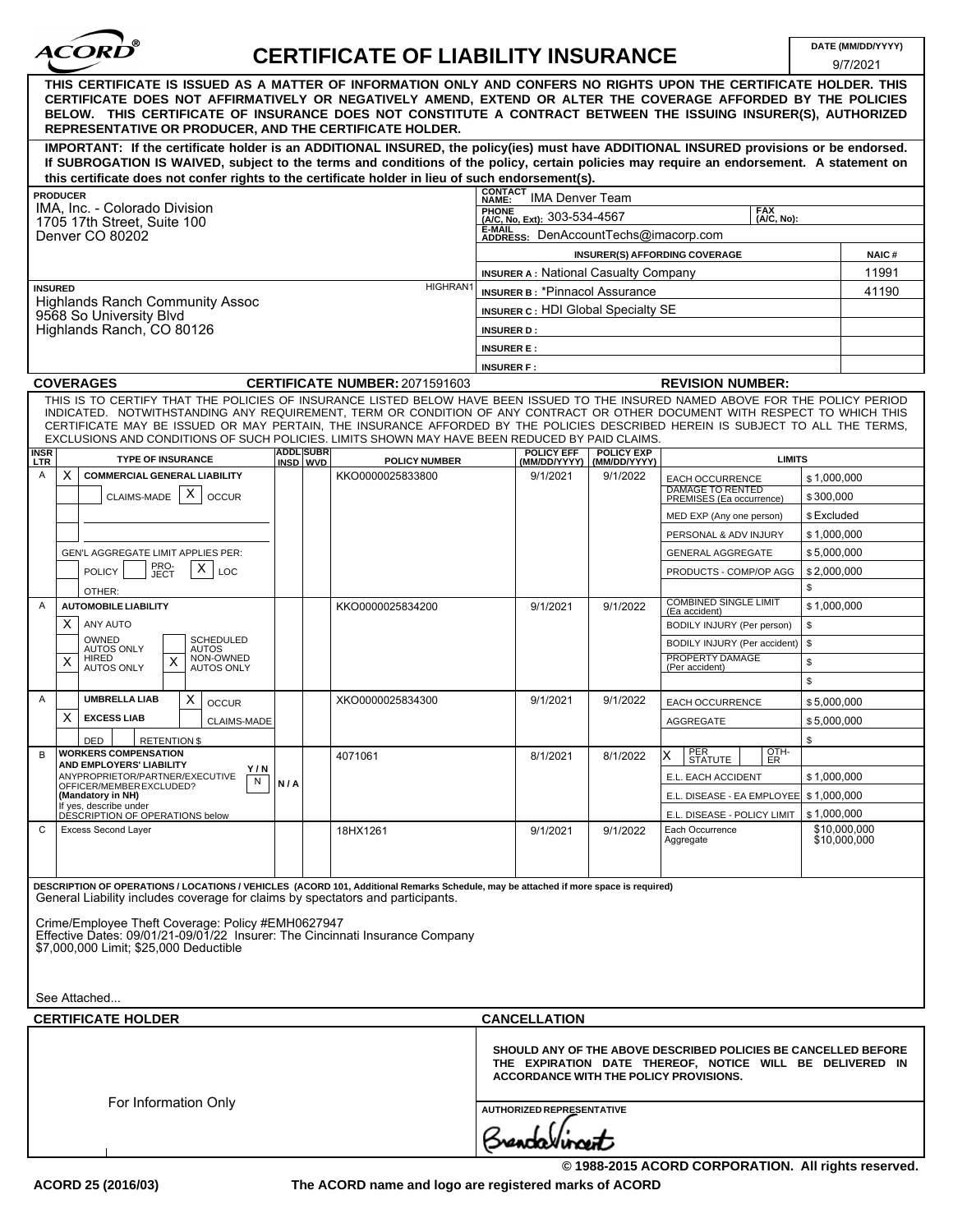| <b>ACORD</b> |  |
|--------------|--|
|              |  |

## **CERTIFICATE OF LIABILITY INSURANCE**

 $\sim$   $\sim$   $\sim$   $\sim$   $\sim$ 

|                                                                                                                                                                                                                                                                                                                                                                                                                                                                                                    |                              |                                       |                                                                                             |                                   |                                                                                                                            | 9/7/2021     |  |
|----------------------------------------------------------------------------------------------------------------------------------------------------------------------------------------------------------------------------------------------------------------------------------------------------------------------------------------------------------------------------------------------------------------------------------------------------------------------------------------------------|------------------------------|---------------------------------------|---------------------------------------------------------------------------------------------|-----------------------------------|----------------------------------------------------------------------------------------------------------------------------|--------------|--|
| THIS CERTIFICATE IS ISSUED AS A MATTER OF INFORMATION ONLY AND CONFERS NO RIGHTS UPON THE CERTIFICATE HOLDER. THIS<br>CERTIFICATE DOES NOT AFFIRMATIVELY OR NEGATIVELY AMEND, EXTEND OR ALTER THE COVERAGE AFFORDED BY THE POLICIES<br>BELOW. THIS CERTIFICATE OF INSURANCE DOES NOT CONSTITUTE A CONTRACT BETWEEN THE ISSUING INSURER(S), AUTHORIZED<br>REPRESENTATIVE OR PRODUCER, AND THE CERTIFICATE HOLDER.                                                                                   |                              |                                       |                                                                                             |                                   |                                                                                                                            |              |  |
| IMPORTANT: If the certificate holder is an ADDITIONAL INSURED, the policy(ies) must have ADDITIONAL INSURED provisions or be endorsed.                                                                                                                                                                                                                                                                                                                                                             |                              |                                       |                                                                                             |                                   |                                                                                                                            |              |  |
| If SUBROGATION IS WAIVED, subject to the terms and conditions of the policy, certain policies may require an endorsement. A statement on                                                                                                                                                                                                                                                                                                                                                           |                              |                                       |                                                                                             |                                   |                                                                                                                            |              |  |
| this certificate does not confer rights to the certificate holder in lieu of such endorsement(s).                                                                                                                                                                                                                                                                                                                                                                                                  |                              |                                       | <b>CONTACT</b>                                                                              |                                   |                                                                                                                            |              |  |
| <b>PRODUCER</b><br>IMA, Inc. - Colorado Division                                                                                                                                                                                                                                                                                                                                                                                                                                                   |                              |                                       | <b>IMA Denver Team</b><br>NAME:<br>PHONE                                                    |                                   | <b>FAX</b>                                                                                                                 |              |  |
| 1705 17th Street, Suite 100                                                                                                                                                                                                                                                                                                                                                                                                                                                                        |                              |                                       | (A/C, No. Ext): 303-534-4567<br>(A/C, No):<br>E-MAIL                                        |                                   |                                                                                                                            |              |  |
| Denver CO 80202                                                                                                                                                                                                                                                                                                                                                                                                                                                                                    |                              |                                       | ADDRESS: DenAccountTechs@imacorp.com                                                        |                                   |                                                                                                                            |              |  |
|                                                                                                                                                                                                                                                                                                                                                                                                                                                                                                    |                              |                                       |                                                                                             |                                   | INSURER(S) AFFORDING COVERAGE                                                                                              | <b>NAIC#</b> |  |
| <b>HIGHRAN</b><br><b>INSURED</b><br><b>Highlands Ranch Community Assoc</b><br>9568 So University Blvd                                                                                                                                                                                                                                                                                                                                                                                              |                              |                                       | <b>INSURER A: National Casualty Company</b>                                                 |                                   |                                                                                                                            | 11991        |  |
|                                                                                                                                                                                                                                                                                                                                                                                                                                                                                                    |                              |                                       | <b>INSURER B: *Pinnacol Assurance</b><br>41190<br><b>INSURER C: HDI Global Specialty SE</b> |                                   |                                                                                                                            |              |  |
|                                                                                                                                                                                                                                                                                                                                                                                                                                                                                                    |                              |                                       |                                                                                             |                                   |                                                                                                                            |              |  |
| Highlands Ranch, CO 80126                                                                                                                                                                                                                                                                                                                                                                                                                                                                          |                              |                                       | <b>INSURER D:</b>                                                                           |                                   |                                                                                                                            |              |  |
|                                                                                                                                                                                                                                                                                                                                                                                                                                                                                                    |                              |                                       | <b>INSURER E:</b><br><b>INSURER F:</b>                                                      |                                   |                                                                                                                            |              |  |
| <b>COVERAGES</b>                                                                                                                                                                                                                                                                                                                                                                                                                                                                                   |                              | <b>CERTIFICATE NUMBER: 2071591603</b> |                                                                                             |                                   | <b>REVISION NUMBER:</b>                                                                                                    |              |  |
| THIS IS TO CERTIFY THAT THE POLICIES OF INSURANCE LISTED BELOW HAVE BEEN ISSUED TO THE INSURED NAMED ABOVE FOR THE POLICY PERIOD<br>INDICATED. NOTWITHSTANDING ANY REQUIREMENT, TERM OR CONDITION OF ANY CONTRACT OR OTHER DOCUMENT WITH RESPECT TO WHICH THIS<br>CERTIFICATE MAY BE ISSUED OR MAY PERTAIN, THE INSURANCE AFFORDED BY THE POLICIES DESCRIBED HEREIN IS SUBJECT TO ALL THE TERMS,<br>EXCLUSIONS AND CONDITIONS OF SUCH POLICIES. LIMITS SHOWN MAY HAVE BEEN REDUCED BY PAID CLAIMS. |                              |                                       |                                                                                             |                                   |                                                                                                                            |              |  |
| <b>INSR</b><br><b>TYPE OF INSURANCE</b><br><b>LTR</b>                                                                                                                                                                                                                                                                                                                                                                                                                                              | <b>ADDL SUBR</b><br>INSD WVD | <b>POLICY NUMBER</b>                  | POLICY EFF<br>(MM/DD/YYYY)                                                                  | <b>POLICY EXP</b><br>(MM/DD/YYYY) | <b>LIMITS</b>                                                                                                              |              |  |
| X<br><b>COMMERCIAL GENERAL LIABILITY</b><br>Α                                                                                                                                                                                                                                                                                                                                                                                                                                                      |                              | KKO0000025833800                      | 9/1/2021                                                                                    | 9/1/2022                          | EACH OCCURRENCE<br><b>DAMAGE TO RENTED</b>                                                                                 | \$1,000,000  |  |
| Х<br>CLAIMS-MADE<br><b>OCCUR</b>                                                                                                                                                                                                                                                                                                                                                                                                                                                                   |                              |                                       |                                                                                             |                                   | PREMISES (Ea occurrence)                                                                                                   | \$300.000    |  |
|                                                                                                                                                                                                                                                                                                                                                                                                                                                                                                    |                              |                                       |                                                                                             |                                   | MED EXP (Any one person)                                                                                                   | \$ Excluded  |  |
|                                                                                                                                                                                                                                                                                                                                                                                                                                                                                                    |                              |                                       |                                                                                             |                                   | PERSONAL & ADV INJURY                                                                                                      | \$1,000,000  |  |
| GEN'L AGGREGATE LIMIT APPLIES PER:                                                                                                                                                                                                                                                                                                                                                                                                                                                                 |                              |                                       |                                                                                             |                                   | <b>GENERAL AGGREGATE</b>                                                                                                   | \$5,000,000  |  |
| PRO-<br>JECT<br>х<br><b>POLICY</b><br><b>LOC</b>                                                                                                                                                                                                                                                                                                                                                                                                                                                   |                              |                                       |                                                                                             |                                   | PRODUCTS - COMP/OP AGG                                                                                                     | \$2,000,000  |  |
| OTHER:                                                                                                                                                                                                                                                                                                                                                                                                                                                                                             |                              |                                       |                                                                                             |                                   | <b>COMBINED SINGLE LIMIT</b>                                                                                               | \$           |  |
| <b>AUTOMOBILE LIABILITY</b><br>A                                                                                                                                                                                                                                                                                                                                                                                                                                                                   |                              | KKO0000025834200                      | 9/1/2021                                                                                    | 9/1/2022                          | (Ea accident)                                                                                                              | \$1,000,000  |  |
| ANY AUTO<br>X.<br>OWNED<br><b>SCHEDULED</b>                                                                                                                                                                                                                                                                                                                                                                                                                                                        |                              |                                       |                                                                                             |                                   | BODILY INJURY (Per person)                                                                                                 | \$           |  |
| <b>AUTOS ONLY</b><br><b>AUTOS</b><br><b>HIRED</b><br>NON-OWNED<br>X                                                                                                                                                                                                                                                                                                                                                                                                                                |                              |                                       |                                                                                             |                                   | BODILY INJURY (Per accident)<br>PROPERTY DAMAGE                                                                            | \$           |  |
| X<br>AUTOS ONLY<br><b>AUTOS ONLY</b>                                                                                                                                                                                                                                                                                                                                                                                                                                                               |                              |                                       |                                                                                             |                                   | (Per accident)                                                                                                             | \$<br>\$     |  |
| <b>UMBRELLA LIAB</b><br>A                                                                                                                                                                                                                                                                                                                                                                                                                                                                          |                              | XKO0000025834300                      |                                                                                             |                                   |                                                                                                                            |              |  |
| X<br><b>OCCUR</b><br>X<br><b>EXCESS LIAB</b>                                                                                                                                                                                                                                                                                                                                                                                                                                                       |                              |                                       | 9/1/2021                                                                                    | 9/1/2022                          | <b>EACH OCCURRENCE</b>                                                                                                     | \$5,000,000  |  |
| CLAIMS-MADE                                                                                                                                                                                                                                                                                                                                                                                                                                                                                        |                              |                                       |                                                                                             |                                   | AGGREGATE                                                                                                                  | \$5.000.000  |  |
| <b>DED</b><br><b>RETENTION \$</b><br><b>WORKERS COMPENSATION</b><br>B                                                                                                                                                                                                                                                                                                                                                                                                                              |                              | 4071061                               | 8/1/2021                                                                                    | 8/1/2022                          | PER<br>STATUTE<br>$\frac{1}{2}$<br>ΙX                                                                                      | \$           |  |
| <b>AND EMPLOYERS' LIABILITY</b><br>Y/N<br>ANYPROPRIETOR/PARTNER/EXECUTIVE                                                                                                                                                                                                                                                                                                                                                                                                                          |                              |                                       |                                                                                             |                                   | E.L. EACH ACCIDENT                                                                                                         | \$1,000,000  |  |
| N<br>OFFICER/MEMBER EXCLUDED?<br>(Mandatory in NH)                                                                                                                                                                                                                                                                                                                                                                                                                                                 | N/A                          |                                       |                                                                                             |                                   | E.L. DISEASE - EA EMPLOYEE   \$1,000,000                                                                                   |              |  |
| If yes, describe under<br>DÉSCRIPTION OF OPERATIONS below                                                                                                                                                                                                                                                                                                                                                                                                                                          |                              |                                       |                                                                                             |                                   | E.L. DISEASE - POLICY LIMIT                                                                                                | \$1,000,000  |  |
| <b>Excess Second Layer</b><br>C                                                                                                                                                                                                                                                                                                                                                                                                                                                                    |                              | 18HX1261                              | 9/1/2021                                                                                    | 9/1/2022                          | Each Occurrence                                                                                                            | \$10,000,000 |  |
|                                                                                                                                                                                                                                                                                                                                                                                                                                                                                                    |                              |                                       |                                                                                             |                                   | Aggregate                                                                                                                  | \$10,000,000 |  |
|                                                                                                                                                                                                                                                                                                                                                                                                                                                                                                    |                              |                                       |                                                                                             |                                   |                                                                                                                            |              |  |
| DESCRIPTION OF OPERATIONS / LOCATIONS / VEHICLES (ACORD 101, Additional Remarks Schedule, may be attached if more space is required)<br>General Liability includes coverage for claims by spectators and participants.                                                                                                                                                                                                                                                                             |                              |                                       |                                                                                             |                                   |                                                                                                                            |              |  |
|                                                                                                                                                                                                                                                                                                                                                                                                                                                                                                    |                              |                                       |                                                                                             |                                   |                                                                                                                            |              |  |
| Crime/Employee Theft Coverage: Policy #EMH0627947<br>Effective Dates: 09/01/21-09/01/22 Insurer: The Cincinnati Insurance Company                                                                                                                                                                                                                                                                                                                                                                  |                              |                                       |                                                                                             |                                   |                                                                                                                            |              |  |
| \$7,000,000 Limit; \$25,000 Deductible                                                                                                                                                                                                                                                                                                                                                                                                                                                             |                              |                                       |                                                                                             |                                   |                                                                                                                            |              |  |
|                                                                                                                                                                                                                                                                                                                                                                                                                                                                                                    |                              |                                       |                                                                                             |                                   |                                                                                                                            |              |  |
| See Attached                                                                                                                                                                                                                                                                                                                                                                                                                                                                                       |                              |                                       |                                                                                             |                                   |                                                                                                                            |              |  |
|                                                                                                                                                                                                                                                                                                                                                                                                                                                                                                    |                              |                                       |                                                                                             |                                   |                                                                                                                            |              |  |
| <b>CERTIFICATE HOLDER</b>                                                                                                                                                                                                                                                                                                                                                                                                                                                                          |                              |                                       | <b>CANCELLATION</b>                                                                         |                                   |                                                                                                                            |              |  |
|                                                                                                                                                                                                                                                                                                                                                                                                                                                                                                    |                              |                                       | ACCORDANCE WITH THE POLICY PROVISIONS.                                                      |                                   | SHOULD ANY OF THE ABOVE DESCRIBED POLICIES BE CANCELLED BEFORE<br>THE EXPIRATION DATE THEREOF, NOTICE WILL BE DELIVERED IN |              |  |
| For Information Only                                                                                                                                                                                                                                                                                                                                                                                                                                                                               | AUTHORIZED REPRESENTATIVE    |                                       |                                                                                             |                                   |                                                                                                                            |              |  |
|                                                                                                                                                                                                                                                                                                                                                                                                                                                                                                    |                              |                                       |                                                                                             |                                   |                                                                                                                            |              |  |
|                                                                                                                                                                                                                                                                                                                                                                                                                                                                                                    |                              |                                       |                                                                                             |                                   |                                                                                                                            |              |  |
|                                                                                                                                                                                                                                                                                                                                                                                                                                                                                                    |                              |                                       |                                                                                             |                                   |                                                                                                                            |              |  |

**The ACORD name and logo are registered marks of ACORD**